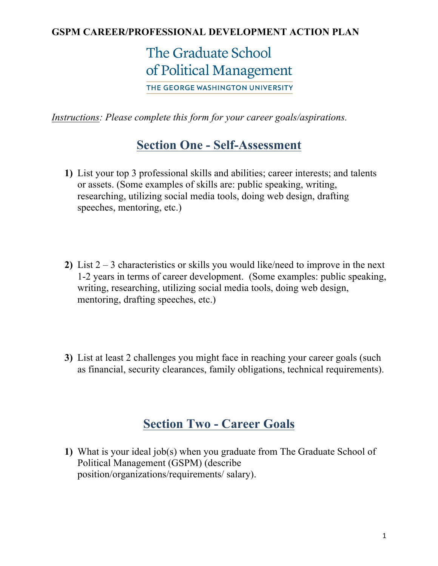#### **GSPM CAREER/PROFESSIONAL DEVELOPMENT ACTION PLAN**

# The Graduate School of Political Management

THE GEORGE WASHINGTON UNIVERSITY

*Instructions: Please complete this form for your career goals/aspirations.*

## **Section One - Self-Assessment**

- **1)** List your top 3 professional skills and abilities; career interests; and talents or assets. (Some examples of skills are: public speaking, writing, researching, utilizing social media tools, doing web design, drafting speeches, mentoring, etc.)
- **2)** List 2 3 characteristics or skills you would like/need to improve in the next 1-2 years in terms of career development. (Some examples: public speaking, writing, researching, utilizing social media tools, doing web design, mentoring, drafting speeches, etc.)
- **3)** List at least 2 challenges you might face in reaching your career goals (such as financial, security clearances, family obligations, technical requirements).

### **Section Two - Career Goals**

**1)** What is your ideal job(s) when you graduate from The Graduate School of Political Management (GSPM) (describe position/organizations/requirements/ salary).